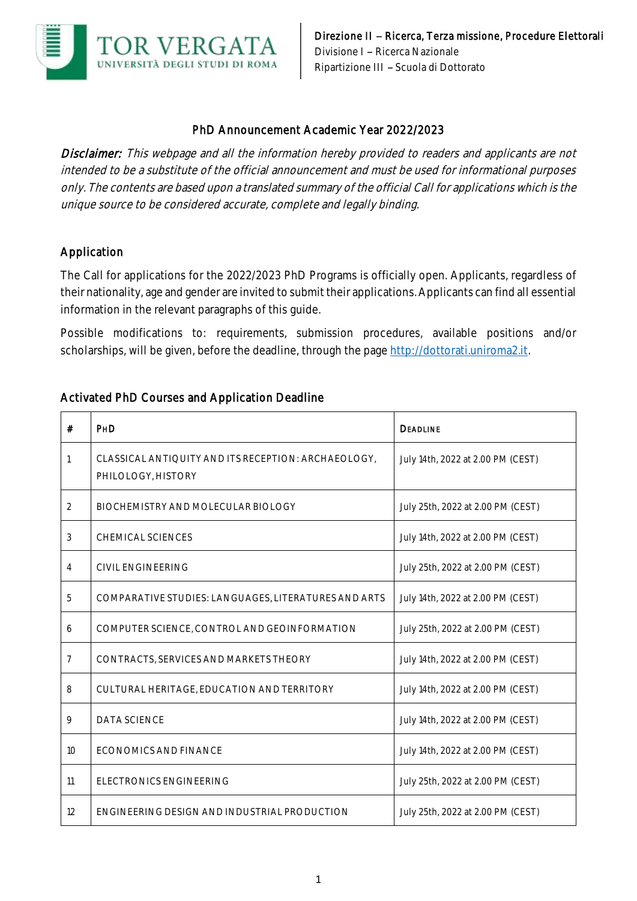

#### PhD Announcement Academic Year 2022/2023

Disclaimer: This webpage and all the information hereby provided to readers and applicants are not intended to be a substitute of the official announcement and must be used for informational purposes only. The contents are based upon a translated summary of the official Call for applications which is the unique source to be considered accurate, complete and legally binding.

## Application

The Call for applications for the 2022/2023 PhD Programs is officially open. Applicants, regardless of their nationality, age and gender are invited to submit their applications. Applicants can find all essential information in the relevant paragraphs of this guide.

Possible modifications to: requirements, submission procedures, available positions and/or scholarships, will be given, before the deadline, through the page [http://dottorati.uniroma2.it.](http://dottorati.uniroma2.it/)

# Activated PhD Courses and Application Deadline

| #              | PHD                                                                       | <b>DEADLINE</b>                   |
|----------------|---------------------------------------------------------------------------|-----------------------------------|
| 1              | CLASSICAL ANTIQUITY AND ITS RECEPTION: ARCHAEOLOGY,<br>PHILOLOGY, HISTORY | July 14th, 2022 at 2.00 PM (CEST) |
| 2              | BIOCHEMISTRY AND MOLECULAR BIOLOGY                                        | July 25th, 2022 at 2.00 PM (CEST) |
| 3              | CHEMICAL SCIENCES                                                         | July 14th, 2022 at 2.00 PM (CEST) |
| 4              | CIVIL ENGINEERING                                                         | July 25th, 2022 at 2.00 PM (CEST) |
| 5              | COMPARATIVE STUDIES: LANGUAGES, LITERATURES AND ARTS                      | July 14th, 2022 at 2.00 PM (CEST) |
| 6              | COMPUTER SCIENCE, CONTROL AND GEOINFORMATION                              | July 25th, 2022 at 2.00 PM (CEST) |
| $\overline{7}$ | CONTRACTS, SERVICES AND MARKETS THEORY                                    | July 14th, 2022 at 2.00 PM (CEST) |
| 8              | CULTURAL HERITAGE, EDUCATION AND TERRITORY                                | July 14th, 2022 at 2.00 PM (CEST) |
| 9              | DATA SCIENCE                                                              | July 14th, 2022 at 2.00 PM (CEST) |
| 10             | ECONOMICS AND FINANCE                                                     | July 14th, 2022 at 2.00 PM (CEST) |
| 11             | ELECTRONICS ENGINEERING                                                   | July 25th, 2022 at 2.00 PM (CEST) |
| 12             | ENGINEERING DESIGN AND INDUSTRIAL PRODUCTION                              | July 25th, 2022 at 2.00 PM (CEST) |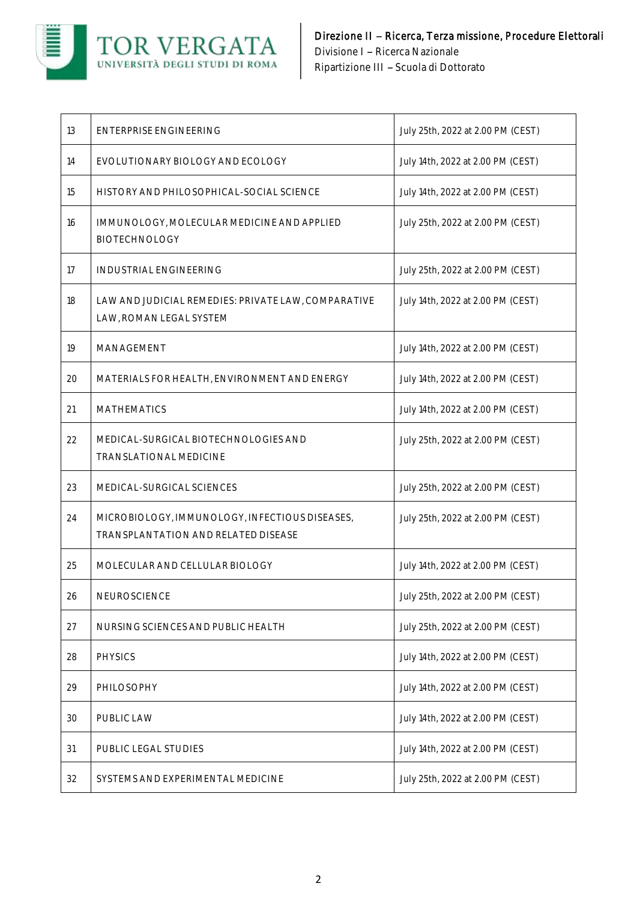

| 13 | <b>ENTERPRISE ENGINEERING</b>                                                         | July 25th, 2022 at 2.00 PM (CEST) |
|----|---------------------------------------------------------------------------------------|-----------------------------------|
| 14 | EVOLUTIONARY BIOLOGY AND ECOLOGY                                                      | July 14th, 2022 at 2.00 PM (CEST) |
| 15 | HISTORY AND PHILOSOPHICAL-SOCIAL SCIENCE                                              | July 14th, 2022 at 2.00 PM (CEST) |
| 16 | IMMUNOLOGY, MOLECULAR MEDICINE AND APPLIED<br><b>BIOTECHNOLOGY</b>                    | July 25th, 2022 at 2.00 PM (CEST) |
| 17 | <b>INDUSTRIAL ENGINEERING</b>                                                         | July 25th, 2022 at 2.00 PM (CEST) |
| 18 | LAW AND JUDICIAL REMEDIES: PRIVATE LAW, COMPARATIVE<br>LAW, ROMAN LEGAL SYSTEM        | July 14th, 2022 at 2.00 PM (CEST) |
| 19 | MANAGEMENT                                                                            | July 14th, 2022 at 2.00 PM (CEST) |
| 20 | MATERIALS FOR HEALTH, ENVIRONMENT AND ENERGY                                          | July 14th, 2022 at 2.00 PM (CEST) |
| 21 | <b>MATHEMATICS</b>                                                                    | July 14th, 2022 at 2.00 PM (CEST) |
| 22 | MEDICAL-SURGICAL BIOTECHNOLOGIES AND<br>TRANSLATIONAL MEDICINE                        | July 25th, 2022 at 2.00 PM (CEST) |
| 23 | MEDICAL-SURGICAL SCIENCES                                                             | July 25th, 2022 at 2.00 PM (CEST) |
| 24 | MICROBIOLOGY, IMMUNOLOGY, INFECTIOUS DISEASES,<br>TRANSPLANTATION AND RELATED DISEASE | July 25th, 2022 at 2.00 PM (CEST) |
| 25 | MOLECULAR AND CELLULAR BIOLOGY                                                        | July 14th, 2022 at 2.00 PM (CEST) |
| 26 | NEUROSCIENCE                                                                          | July 25th, 2022 at 2.00 PM (CEST) |
| 27 | NURSING SCIENCES AND PUBLIC HEALTH                                                    | July 25th, 2022 at 2.00 PM (CEST) |
| 28 | <b>PHYSICS</b>                                                                        | July 14th, 2022 at 2.00 PM (CEST) |
| 29 | PHILOSOPHY                                                                            | July 14th, 2022 at 2.00 PM (CEST) |
| 30 | PUBLIC LAW                                                                            | July 14th, 2022 at 2.00 PM (CEST) |
| 31 | PUBLIC LEGAL STUDIES                                                                  | July 14th, 2022 at 2.00 PM (CEST) |
| 32 | SYSTEMS AND EXPERIMENTAL MEDICINE                                                     | July 25th, 2022 at 2.00 PM (CEST) |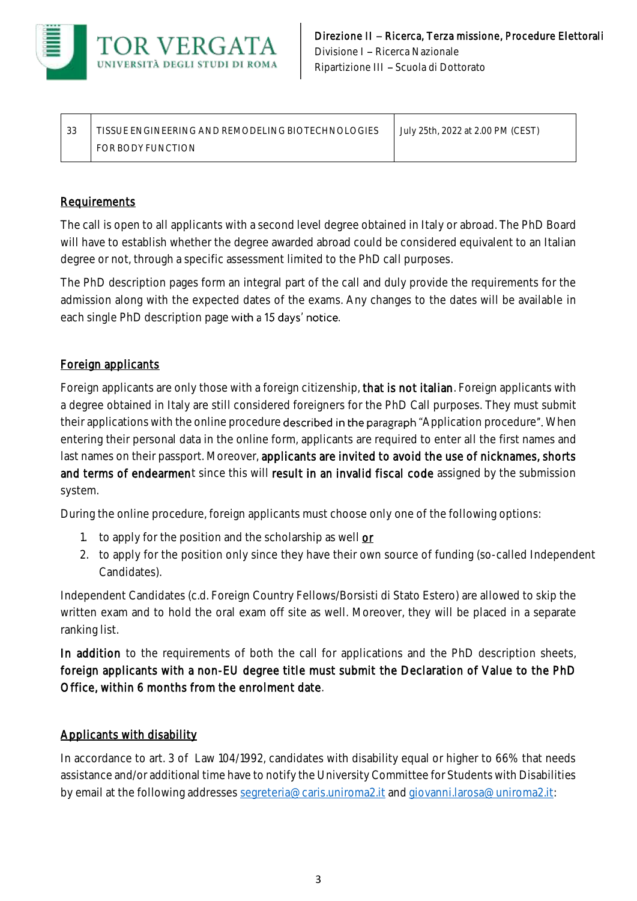

| ົດ<br>ں ر | TISSUE ENGINEERING AND REMODELING BIOTECHNOLOGIES | July 25th, 2022 at 2.00 PM (CEST) |
|-----------|---------------------------------------------------|-----------------------------------|
|           | FOR BODY FUNCTION                                 |                                   |

## **Requirements**

The call is open to all applicants with a second level degree obtained in Italy or abroad. The PhD Board will have to establish whether the degree awarded abroad could be considered equivalent to an Italian degree or not, through a specific assessment limited to the PhD call purposes.

The PhD description pages form an integral part of the call and duly provide the requirements for the admission along with the expected dates of the exams. Any changes to the dates will be available in each single PhD description page with a 15 days' notice.

# Foreign applicants

Foreign applicants are only those with a foreign citizenship, that is not italian. Foreign applicants with a degree obtained in Italy are still considered foreigners for the PhD Call purposes. They must submit their applications with the online procedure described in the paragraph "Application procedure". When entering their personal data in the online form, applicants are required to enter all the first names and last names on their passport. Moreover, applicants are invited to avoid the use of nicknames, shorts and terms of endearment since this will result in an invalid fiscal code assigned by the submission system.

During the online procedure, foreign applicants must choose only one of the following options:

- 1. to apply for the position and the scholarship as well or
- 2. to apply for the position only since they have their own source of funding (so-called Independent Candidates).

Independent Candidates (c.d. Foreign Country Fellows/Borsisti di Stato Estero) are allowed to skip the written exam and to hold the oral exam off site as well. Moreover, they will be placed in a separate ranking list.

In addition to the requirements of both the call for applications and the PhD description sheets, foreign applicants with a non-EU degree title must submit the Declaration of Value to the PhD Office, within 6 months from the enrolment date.

#### Applicants with disability

In accordance to art. 3 of Law 104/1992, candidates with disability equal or higher to 66% that needs assistance and/or additional time have to notify the University Committee for Students with Disabilities by email at the following addresse[s segreteria@caris.uniroma2.it](mailto:segreteria@caris.uniroma2.it) an[d giovanni.larosa@uniroma2.it:](mailto:giovanni.larosa@uniroma2.it)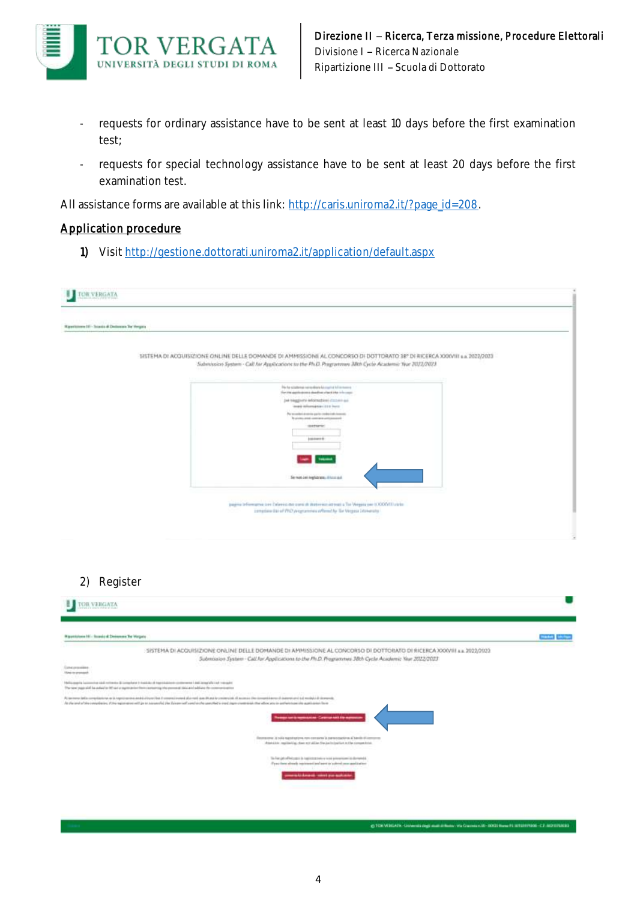

- requests for ordinary assistance have to be sent at least 10 days before the first examination test;
- requests for special technology assistance have to be sent at least 20 days before the first examination test.

All assistance forms are available at this link[: http://caris.uniroma2.it/?page\\_id=208.](http://caris.uniroma2.it/?page_id=208)

#### Application procedure

1) Visit http://gestione.dottorati.uniroma2.it/application/default.aspx

| Ripertyrown (1) - Scalds & Delhorate Tor Hergans |                                                                                                                                                                      |  |
|--------------------------------------------------|----------------------------------------------------------------------------------------------------------------------------------------------------------------------|--|
|                                                  | SISTEMA DI ACQUISIZIONE ONLINE DELLE DOMANDE DI AMMISSIONE AL CONCORSO DI DOTTORATO 38" DI RICERCA XXXVIII s.a. 2022/2023                                            |  |
|                                                  | Submission System - Call for Applications to the Ph.D. Programme 38th Cycle Academic Your 2022/2023                                                                  |  |
|                                                  | This has symptomate need and take for countries to find movement<br>For the applications shading class the tric caps.                                                |  |
|                                                  | Jeé biaggioite informationi (122.01) au-<br>three differences in 1994 front-                                                                                         |  |
|                                                  | Par promises al conviso quarter condessi edicionessisti<br>To produce prints continues and construction                                                              |  |
|                                                  | <b>SHIPMENT</b>                                                                                                                                                      |  |
|                                                  | <b>LALLACTE</b>                                                                                                                                                      |  |
|                                                  | <b>See Thomas</b>                                                                                                                                                    |  |
|                                                  |                                                                                                                                                                      |  |
|                                                  | The most pair implatations, illinois stud-                                                                                                                           |  |
|                                                  |                                                                                                                                                                      |  |
|                                                  | pagina tellumativa (on Calernis del controli diaterram attiva) a Tor Vergitz par (COOVIT) ciria-<br>complains this of the Designations when the for Vergins Sciences |  |
|                                                  |                                                                                                                                                                      |  |
|                                                  |                                                                                                                                                                      |  |

| Wipperighten Hi - Roads & Deissener Tor Vergate                                                                                                                                                                                                                                                                                                                                                                                                    | <b>CONTRACT</b> |
|----------------------------------------------------------------------------------------------------------------------------------------------------------------------------------------------------------------------------------------------------------------------------------------------------------------------------------------------------------------------------------------------------------------------------------------------------|-----------------|
| SISTEMA DI ACOUISIZIONE ONLINE DELLE DOMANDE DI AMMISSIONE AL CONCORSO DI DOTTORATO DI RICERCA XXXVIII a.a. 2022/2023<br>Submission System - Call for Applications to the Ph.D. Programmes 38th Cycle Academic Year 2022/2023                                                                                                                                                                                                                      |                 |
| <b>Earted presuments</b><br><b>Haw to promock</b>                                                                                                                                                                                                                                                                                                                                                                                                  |                 |
| The Conservation Commission and continenties do commissions of the middle of American Additional Additional Additional Commission and Conservation<br>The service page at all for antive to the car or experiment than contentrial the present of this and address the contentrion of                                                                                                                                                              |                 |
| At increase indicate explication on interpretations and id of cost that connect in each stand and the content of Assembly connected and assembly connected and assembly a standard and assembly a distinguishing<br>the shall and or behaviorship data on of the registration with joint interested the Balance sell asset on the specified is more than the constitution than afford and in authorities in a substitution of the application from |                 |
| age and remains Course and by agreem                                                                                                                                                                                                                                                                                                                                                                                                               |                 |
| Secretary. If this registrations non-consense is participations all bands of compres-<br>Attendance regularities, close will allier She backs barriers in the compensate                                                                                                                                                                                                                                                                           |                 |
| The Fair gate ad best copper to import process a local process states in the market in<br>(Fyes) have already registered and agent to subject your applitutions.                                                                                                                                                                                                                                                                                   |                 |
| ment is knowld. Have you stakened                                                                                                                                                                                                                                                                                                                                                                                                                  |                 |

**C TON WINDATA LIN** 44.00 - 00020 Human PL (8992999006 - C.F. 00293192818)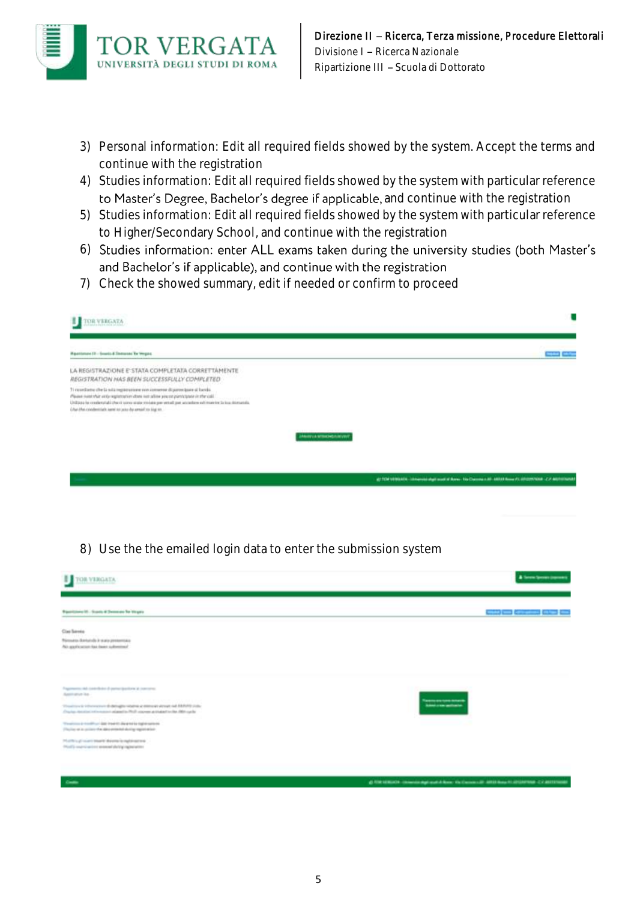

- 3) Personal information: Edit all required fields showed by the system. Accept the terms and continue with the registration
- 4) Studies information: Edit all required fields showed by the system with particular reference to Master's Degree, Bachelor's degree if applicable, and continue with the registration
- 5) Studies information: Edit all required fields showed by the system with particular reference to Higher/Secondary School, and continue with the registration
- 6) Studies information: enter ALL exams taken during the university studies (both Master's and Bachelor's if applicable), and continue with the registration
- 7) Check the showed summary, edit if needed or confirm to proceed

| <b>CIR VERGATA</b><br>ш                                                                                                                                                                                                                                                                                                                                                                                                                                      |                                                                                                                   |
|--------------------------------------------------------------------------------------------------------------------------------------------------------------------------------------------------------------------------------------------------------------------------------------------------------------------------------------------------------------------------------------------------------------------------------------------------------------|-------------------------------------------------------------------------------------------------------------------|
| <b>Restaurant II</b> - South & Statement By Wagon.                                                                                                                                                                                                                                                                                                                                                                                                           | <b>COMPUTER</b>                                                                                                   |
| LA REGISTRAZIONE E STATA COMPLETATA CORRETTAMENTE<br>REGISTRATION HAS BEEN SUCCESSFULLY COMPLETED.                                                                                                                                                                                                                                                                                                                                                           |                                                                                                                   |
| 3) recordiance che la sula registrazione sun compose di parter giane si bavelo.<br>Please number and registration does not allies you or participate in the call.<br>UNEQUOUS to considerated a the city constitution of the constant policy and an additional of the constitution of the constant of the constitution of the constitution of the constitution of the constitution of the constitut<br>Char cha condentrials sand to use do areal to ting to |                                                                                                                   |
|                                                                                                                                                                                                                                                                                                                                                                                                                                                              | <b>Information of the American Control of Control</b>                                                             |
|                                                                                                                                                                                                                                                                                                                                                                                                                                                              |                                                                                                                   |
|                                                                                                                                                                                                                                                                                                                                                                                                                                                              | all FOR VEHICLES. Temperate shall want of News, Vio Discouss is all. ABSD News (1,101) ENVIOUS (2,7 applicational |

8) Use the the emailed login data to enter the submission system

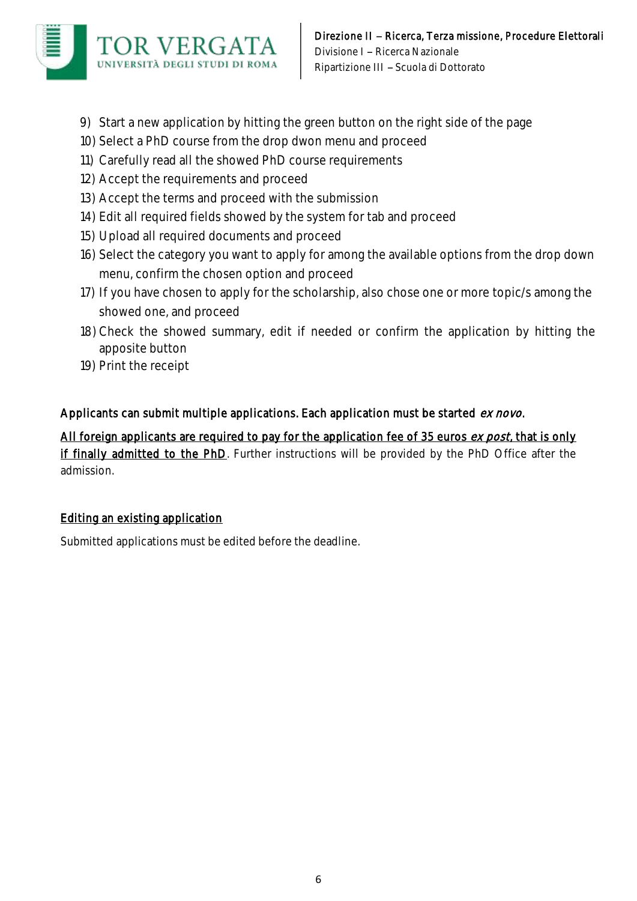

- 9) Start a new application by hitting the green button on the right side of the page
- 10) Select a PhD course from the drop dwon menu and proceed
- 11) Carefully read all the showed PhD course requirements
- 12) Accept the requirements and proceed
- 13) Accept the terms and proceed with the submission
- 14) Edit all required fields showed by the system for tab and proceed
- 15) Upload all required documents and proceed
- 16) Select the category you want to apply for among the available options from the drop down menu, confirm the chosen option and proceed
- 17) If you have chosen to apply for the scholarship, also chose one or more topic/s among the showed one, and proceed
- 18) Check the showed summary, edit if needed or confirm the application by hitting the apposite button
- 19) Print the receipt

# Applicants can submit multiple applications. Each application must be started ex novo.

All foreign applicants are required to pay for the application fee of 35 euros ex post, that is only if finally admitted to the PhD. Further instructions will be provided by the PhD Office after the admission.

# Editing an existing application

Submitted applications must be edited before the deadline.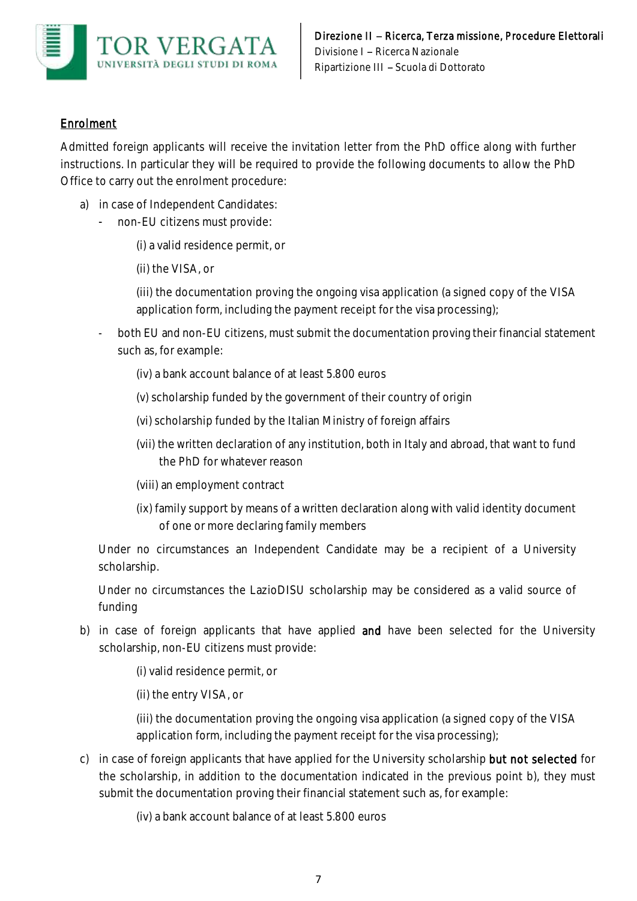

# Enrolment

Admitted foreign applicants will receive the invitation letter from the PhD office along with further instructions. In particular they will be required to provide the following documents to allow the PhD Office to carry out the enrolment procedure:

- a) in case of Independent Candidates:
	- non-EU citizens must provide:
		- (i) a valid residence permit, or
		- (ii) the VISA, or

(iii) the documentation proving the ongoing visa application (a signed copy of the VISA application form, including the payment receipt for the visa processing);

- both EU and non-EU citizens, must submit the documentation proving their financial statement such as, for example:
	- (iv) a bank account balance of at least 5.800 euros
	- (v) scholarship funded by the government of their country of origin
	- (vi) scholarship funded by the Italian Ministry of foreign affairs
	- (vii) the written declaration of any institution, both in Italy and abroad, that want to fund the PhD for whatever reason
	- (viii) an employment contract
	- (ix) family support by means of a written declaration along with valid identity document of one or more declaring family members

Under no circumstances an Independent Candidate may be a recipient of a University scholarship.

Under no circumstances the LazioDISU scholarship may be considered as a valid source of funding

- b) in case of foreign applicants that have applied and have been selected for the University scholarship, non-EU citizens must provide:
	- (i) valid residence permit, or
	- (ii) the entry VISA, or

(iii) the documentation proving the ongoing visa application (a signed copy of the VISA application form, including the payment receipt for the visa processing);

- c) in case of foreign applicants that have applied for the University scholarship but not selected for the scholarship, in addition to the documentation indicated in the previous point b), they must submit the documentation proving their financial statement such as, for example:
	- (iv) a bank account balance of at least 5.800 euros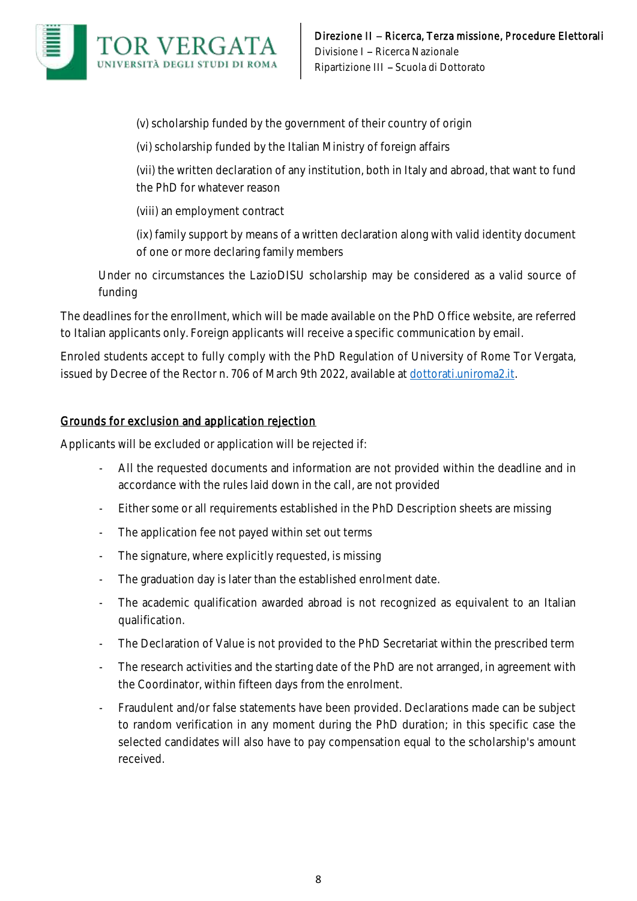

(v) scholarship funded by the government of their country of origin

(vi) scholarship funded by the Italian Ministry of foreign affairs

(vii) the written declaration of any institution, both in Italy and abroad, that want to fund the PhD for whatever reason

(viii) an employment contract

(ix) family support by means of a written declaration along with valid identity document of one or more declaring family members

Under no circumstances the LazioDISU scholarship may be considered as a valid source of funding

The deadlines for the enrollment, which will be made available on the PhD Office website, are referred to Italian applicants only. Foreign applicants will receive a specific communication by email.

Enroled students accept to fully comply with the PhD Regulation of University of Rome Tor Vergata, issued by Decree of the Rector n. 706 of March 9th 2022, available at dottorati.uniroma2.it.

## Grounds for exclusion and application rejection

Applicants will be excluded or application will be rejected if:

- All the requested documents and information are not provided within the deadline and in accordance with the rules laid down in the call, are not provided
- Either some or all requirements established in the PhD Description sheets are missing
- The application fee not payed within set out terms
- The signature, where explicitly requested, is missing
- The graduation day is later than the established enrolment date.
- The academic qualification awarded abroad is not recognized as equivalent to an Italian qualification.
- The Declaration of Value is not provided to the PhD Secretariat within the prescribed term
- The research activities and the starting date of the PhD are not arranged, in agreement with the Coordinator, within fifteen days from the enrolment.
- Fraudulent and/or false statements have been provided. Declarations made can be subject to random verification in any moment during the PhD duration; in this specific case the selected candidates will also have to pay compensation equal to the scholarship's amount received.